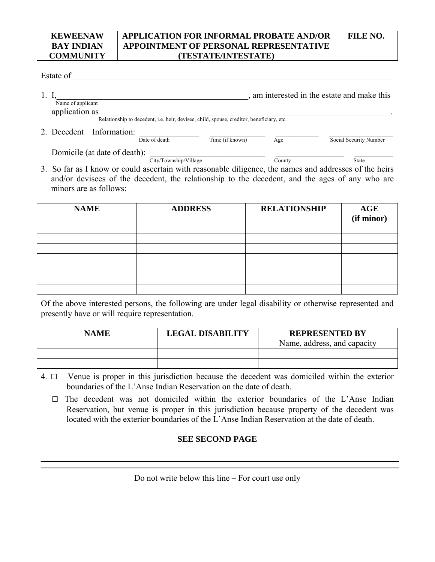## **COMMUNITY APPLICATION FOR INFORMAL PROBATE AND/OR APPOINTMENT OF PERSONAL REPRESENTATIVE (TESTATE/INTESTATE)**

## Estate of

**KEWEENAW BAY INDIAN** 

1. I, the state and make this contains a state and make this contains a state and make this contains a state and make this contains a state and make this contains a state and make this contains a state and make this contai Name of applicant application as Relationship to decedent, i.e. heir, devisee, child, spouse, creditor, beneficiary, etc. 2. Decedent Information:  $\frac{1}{\text{Date of death}}$   $\frac{1}{\text{Time (if known)}}$   $\frac{1}{\text{Age}}$ Social Security Number

Domicile (at date of death):  $\frac{\text{Citv/Township/Village}}{\text{Citv/Township/Village}}$ 

City/Township/Village 3. So far as I know or could ascertain with reasonable diligence, the names and addresses of the heirs and/or devisees of the decedent, the relationship to the decedent, and the ages of any who are minors are as follows:

| <b>NAME</b> | <b>ADDRESS</b> | <b>RELATIONSHIP</b> | AGE<br>(if minor) |
|-------------|----------------|---------------------|-------------------|
|             |                |                     |                   |
|             |                |                     |                   |
|             |                |                     |                   |
|             |                |                     |                   |
|             |                |                     |                   |
|             |                |                     |                   |
|             |                |                     |                   |

Of the above interested persons, the following are under legal disability or otherwise represented and presently have or will require representation.

| <b>NAME</b> | <b>LEGAL DISABILITY</b> | <b>REPRESENTED BY</b><br>Name, address, and capacity |
|-------------|-------------------------|------------------------------------------------------|
|             |                         |                                                      |
|             |                         |                                                      |

- 4. □ Venue is proper in this jurisdiction because the decedent was domiciled within the exterior boundaries of the L'Anse Indian Reservation on the date of death.
	- $\square$  The decedent was not domiciled within the exterior boundaries of the L'Anse Indian Reservation, but venue is proper in this jurisdiction because property of the decedent was located with the exterior boundaries of the L'Anse Indian Reservation at the date of death.

## **SEE SECOND PAGE**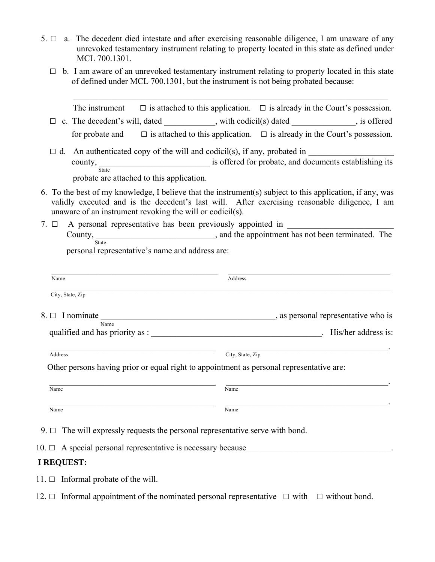- 5.  $\Box$  a. The decedent died intestate and after exercising reasonable diligence, I am unaware of any unrevoked testamentary instrument relating to property located in this state as defined under MCL 700.1301.
	- $\Box$  b. I am aware of an unrevoked testamentary instrument relating to property located in this state of defined under MCL 700.1301, but the instrument is not being probated because:

 $\mathcal{L}_\text{max}$  , and the contribution of the contribution of the contribution of the contribution of the contribution of the contribution of the contribution of the contribution of the contribution of the contribution of t

|                                                                                    | The instrument $\square$ is attached to this application. $\square$ is already in the Court's possession.                                                                                                  |
|------------------------------------------------------------------------------------|------------------------------------------------------------------------------------------------------------------------------------------------------------------------------------------------------------|
|                                                                                    | c. The decedent's will, dated __________, with codicil(s) dated __________, is offered                                                                                                                     |
|                                                                                    | for probate and $\square$ is attached to this application. $\square$ is already in the Court's possession.                                                                                                 |
| $\Box$<br>probate are attached to this application.                                | county, State is offered for probate, and documents establishing its                                                                                                                                       |
| unaware of an instrument revoking the will or codicil(s).                          | 6. To the best of my knowledge, I believe that the instrument(s) subject to this application, if any, was<br>validly executed and is the decedent's last will. After exercising reasonable diligence, I am |
|                                                                                    |                                                                                                                                                                                                            |
|                                                                                    | County, State 3. State 3. And the appointment has not been terminated. The                                                                                                                                 |
| personal representative's name and address are:                                    |                                                                                                                                                                                                            |
|                                                                                    |                                                                                                                                                                                                            |
| Name                                                                               | Address                                                                                                                                                                                                    |
| City, State, Zip                                                                   |                                                                                                                                                                                                            |
|                                                                                    |                                                                                                                                                                                                            |
|                                                                                    |                                                                                                                                                                                                            |
| Name                                                                               |                                                                                                                                                                                                            |
| Address                                                                            | <u> 1989 - Johann John Stein, mars an deus Amerikaansk kommunister (</u><br>City, State, Zip                                                                                                               |
|                                                                                    | Other persons having prior or equal right to appointment as personal representative are:                                                                                                                   |
| Name                                                                               | Name                                                                                                                                                                                                       |
| Name                                                                               | Name                                                                                                                                                                                                       |
| 9. $\Box$ The will expressly requests the personal representative serve with bond. |                                                                                                                                                                                                            |
|                                                                                    |                                                                                                                                                                                                            |
| <b>I REQUEST:</b>                                                                  |                                                                                                                                                                                                            |
| 11. $\Box$ Informal probate of the will.                                           |                                                                                                                                                                                                            |